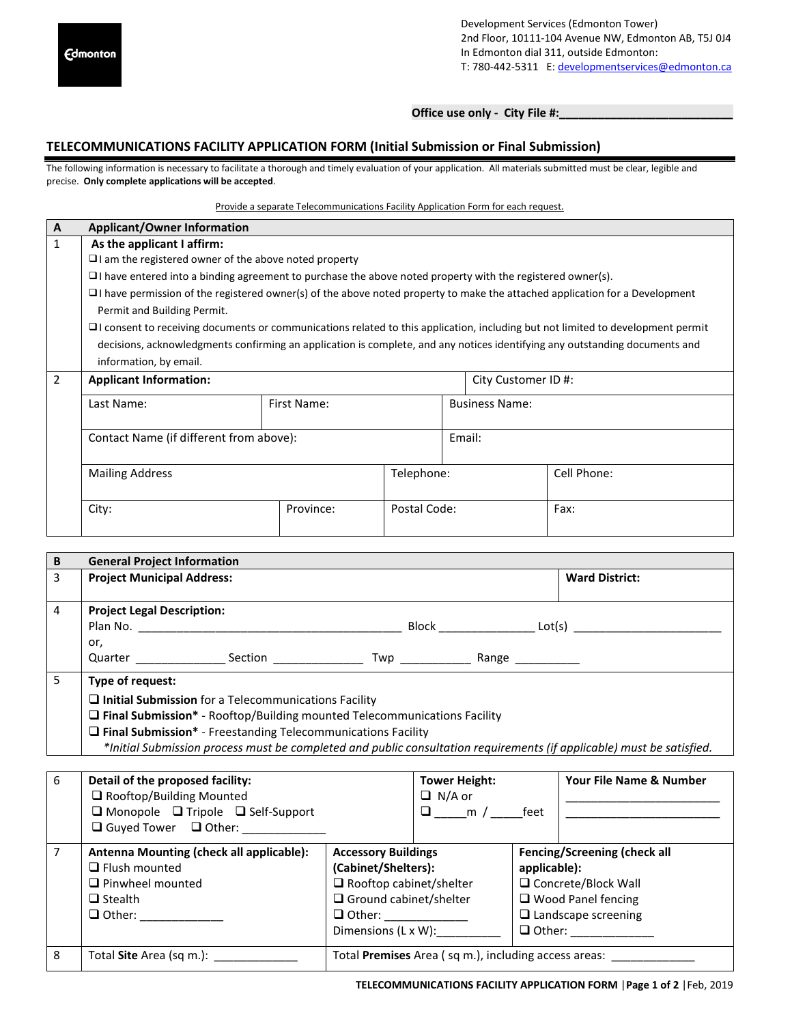Development Services (Edmonton Tower) 2nd Floor, 10111-104 Avenue NW, Edmonton AB, T5J 0J4 In Edmonton dial 311, outside Edmonton: T: 780-442-5311 E: developmentservices@edmonton.ca

**Office use only - City File #:\_\_\_\_\_\_\_\_\_\_\_\_\_\_\_\_\_\_\_\_\_\_\_\_\_\_\_**

## **TELECOMMUNICATIONS FACILITY APPLICATION FORM (Initial Submission or Final Submission)**

The following information is necessary to facilitate a thorough and timely evaluation of your application. All materials submitted must be clear, legible and precise. **Only complete applications will be accepted**.

### Provide a separate Telecommunications Facility Application Form for each request.

| A              | <b>Applicant/Owner Information</b>                                                                                                     |             |              |                       |  |             |  |
|----------------|----------------------------------------------------------------------------------------------------------------------------------------|-------------|--------------|-----------------------|--|-------------|--|
| 1              | As the applicant I affirm:                                                                                                             |             |              |                       |  |             |  |
|                | $\Box$ am the registered owner of the above noted property                                                                             |             |              |                       |  |             |  |
|                | $\Box$ I have entered into a binding agreement to purchase the above noted property with the registered owner(s).                      |             |              |                       |  |             |  |
|                | $\Box$ I have permission of the registered owner(s) of the above noted property to make the attached application for a Development     |             |              |                       |  |             |  |
|                | Permit and Building Permit.                                                                                                            |             |              |                       |  |             |  |
|                | $\Box$ I consent to receiving documents or communications related to this application, including but not limited to development permit |             |              |                       |  |             |  |
|                | decisions, acknowledgments confirming an application is complete, and any notices identifying any outstanding documents and            |             |              |                       |  |             |  |
|                | information, by email.                                                                                                                 |             |              |                       |  |             |  |
| $\overline{2}$ | <b>Applicant Information:</b>                                                                                                          |             |              | City Customer ID #:   |  |             |  |
|                | Last Name:                                                                                                                             | First Name: |              | <b>Business Name:</b> |  |             |  |
|                |                                                                                                                                        |             |              |                       |  |             |  |
|                | Contact Name (if different from above):                                                                                                |             |              | Email:                |  |             |  |
|                |                                                                                                                                        |             |              |                       |  |             |  |
|                | <b>Mailing Address</b>                                                                                                                 | Telephone:  |              |                       |  | Cell Phone: |  |
|                |                                                                                                                                        |             |              |                       |  |             |  |
|                | City:                                                                                                                                  | Province:   | Postal Code: |                       |  | Fax:        |  |
|                |                                                                                                                                        |             |              |                       |  |             |  |

| B | <b>General Project Information</b>                                                                                                                   |                                                                                                                                                                                                                                |  |                       |  |  |
|---|------------------------------------------------------------------------------------------------------------------------------------------------------|--------------------------------------------------------------------------------------------------------------------------------------------------------------------------------------------------------------------------------|--|-----------------------|--|--|
| 3 | <b>Project Municipal Address:</b>                                                                                                                    |                                                                                                                                                                                                                                |  | <b>Ward District:</b> |  |  |
| 4 | <b>Project Legal Description:</b><br>Plan No.                                                                                                        |                                                                                                                                                                                                                                |  |                       |  |  |
|   | or,                                                                                                                                                  | Quarter Contract Contract Contract Contract Contract Contract Contract Contract Contract Contract Contract Contract Contract Contract Contract Contract Contract Contract Contract Contract Contract Contract Contract Contrac |  |                       |  |  |
| 5 | Type of request:                                                                                                                                     |                                                                                                                                                                                                                                |  |                       |  |  |
|   | $\square$ Initial Submission for a Telecommunications Facility<br>$\square$ Final Submission* - Rooftop/Building mounted Telecommunications Facility |                                                                                                                                                                                                                                |  |                       |  |  |
|   | $\Box$ Final Submission* - Freestanding Telecommunications Facility                                                                                  |                                                                                                                                                                                                                                |  |                       |  |  |
|   | *Initial Submission process must be completed and public consultation requirements (if applicable) must be satisfied.                                |                                                                                                                                                                                                                                |  |                       |  |  |

| 6 | Detail of the proposed facility:<br>Rooftop/Building Mounted<br>$\Box$ Monopole $\Box$ Tripole $\Box$ Self-Support<br>$\Box$ Guyed Tower $\Box$ Other: |                                                                                                                                             | <b>Tower Height:</b><br>$\Box$ N/A or<br>$\Box$ _____ m / _______ feet |                               | Your File Name & Number                                                                                          |
|---|--------------------------------------------------------------------------------------------------------------------------------------------------------|---------------------------------------------------------------------------------------------------------------------------------------------|------------------------------------------------------------------------|-------------------------------|------------------------------------------------------------------------------------------------------------------|
|   | Antenna Mounting (check all applicable):<br>$\Box$ Flush mounted<br>$\Box$ Pinwheel mounted<br>$\Box$ Stealth<br>$\Box$ Other:                         | <b>Accessory Buildings</b><br>(Cabinet/Shelters):<br>$\Box$ Rooftop cabinet/shelter<br>$\Box$ Ground cabinet/shelter<br>Dimensions (L x W): |                                                                        | applicable):<br>$\Box$ Other: | Fencing/Screening (check all<br>□ Concrete/Block Wall<br>$\Box$ Wood Panel fencing<br>$\Box$ Landscape screening |
| 8 | Total Site Area (sq m.): ____________                                                                                                                  |                                                                                                                                             |                                                                        |                               | Total Premises Area (sq m.), including access areas:                                                             |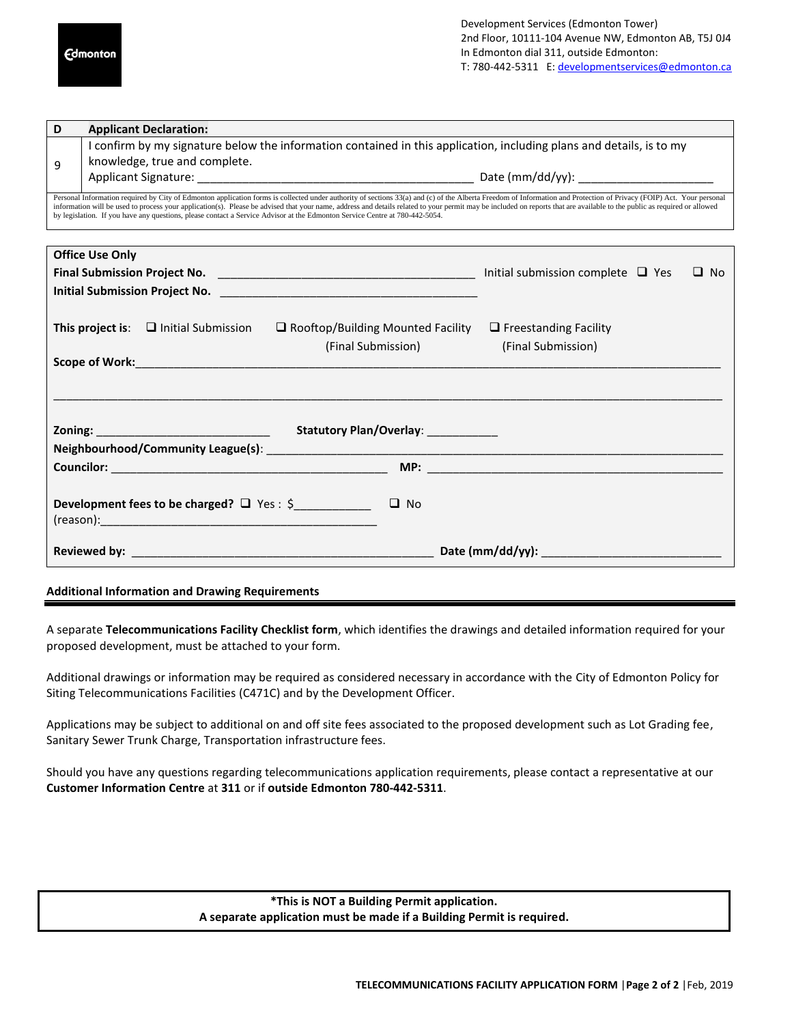| D                                                                           | <b>Applicant Declaration:</b>                                                                                               |                                                                                                                                                                                                                                                                                                                                                    |                                                                                                                                                                                                                                                                                                                                                                                                                                                  |  |  |  |  |
|-----------------------------------------------------------------------------|-----------------------------------------------------------------------------------------------------------------------------|----------------------------------------------------------------------------------------------------------------------------------------------------------------------------------------------------------------------------------------------------------------------------------------------------------------------------------------------------|--------------------------------------------------------------------------------------------------------------------------------------------------------------------------------------------------------------------------------------------------------------------------------------------------------------------------------------------------------------------------------------------------------------------------------------------------|--|--|--|--|
|                                                                             | I confirm by my signature below the information contained in this application, including plans and details, is to my        |                                                                                                                                                                                                                                                                                                                                                    |                                                                                                                                                                                                                                                                                                                                                                                                                                                  |  |  |  |  |
| 9                                                                           | knowledge, true and complete.                                                                                               |                                                                                                                                                                                                                                                                                                                                                    |                                                                                                                                                                                                                                                                                                                                                                                                                                                  |  |  |  |  |
|                                                                             |                                                                                                                             |                                                                                                                                                                                                                                                                                                                                                    |                                                                                                                                                                                                                                                                                                                                                                                                                                                  |  |  |  |  |
|                                                                             | by legislation. If you have any questions, please contact a Service Advisor at the Edmonton Service Centre at 780-442-5054. |                                                                                                                                                                                                                                                                                                                                                    | Personal Information required by City of Edmonton application forms is collected under authority of sections 33(a) and (c) of the Alberta Freedom of Information and Protection of Privacy (FOIP) Act. Your personal<br>information will be used to process your application(s). Please be advised that your name, address and details related to your permit may be included on reports that are available to the public as required or allowed |  |  |  |  |
|                                                                             | <b>Office Use Only</b>                                                                                                      |                                                                                                                                                                                                                                                                                                                                                    |                                                                                                                                                                                                                                                                                                                                                                                                                                                  |  |  |  |  |
|                                                                             |                                                                                                                             |                                                                                                                                                                                                                                                                                                                                                    | $\Box$ No                                                                                                                                                                                                                                                                                                                                                                                                                                        |  |  |  |  |
|                                                                             |                                                                                                                             |                                                                                                                                                                                                                                                                                                                                                    |                                                                                                                                                                                                                                                                                                                                                                                                                                                  |  |  |  |  |
|                                                                             |                                                                                                                             | <b>This project is:</b> $\Box$ Initial Submission $\Box$ Rooftop/Building Mounted Facility<br>(Final Submission)<br>Scope of Work: New York: New York: New York: New York: New York: New York: New York: New York: New York: New York: New York: New York: New York: New York: New York: New York: New York: New York: New York: New York: New Yor | $\Box$ Freestanding Facility<br>(Final Submission)                                                                                                                                                                                                                                                                                                                                                                                               |  |  |  |  |
|                                                                             |                                                                                                                             |                                                                                                                                                                                                                                                                                                                                                    |                                                                                                                                                                                                                                                                                                                                                                                                                                                  |  |  |  |  |
|                                                                             |                                                                                                                             |                                                                                                                                                                                                                                                                                                                                                    |                                                                                                                                                                                                                                                                                                                                                                                                                                                  |  |  |  |  |
|                                                                             |                                                                                                                             |                                                                                                                                                                                                                                                                                                                                                    |                                                                                                                                                                                                                                                                                                                                                                                                                                                  |  |  |  |  |
| <b>Development fees to be charged?</b> $\Box$ Yes : $\Diamond$<br>$\Box$ No |                                                                                                                             |                                                                                                                                                                                                                                                                                                                                                    |                                                                                                                                                                                                                                                                                                                                                                                                                                                  |  |  |  |  |
|                                                                             |                                                                                                                             |                                                                                                                                                                                                                                                                                                                                                    | Reviewed by: $\qquad \qquad$ New $\qquad \qquad$ Date (mm/dd/yy):                                                                                                                                                                                                                                                                                                                                                                                |  |  |  |  |

#### **Additional Information and Drawing Requirements**

A separate **Telecommunications Facility Checklist form**, which identifies the drawings and detailed information required for your proposed development, must be attached to your form.

Additional drawings or information may be required as considered necessary in accordance with the City of Edmonton Policy for Siting Telecommunications Facilities (C471C) and by the Development Officer.

Applications may be subject to additional on and off site fees associated to the proposed development such as Lot Grading fee, Sanitary Sewer Trunk Charge, Transportation infrastructure fees.

Should you have any questions regarding telecommunications application requirements, please contact a representative at our **Customer Information Centre** at **311** or if **outside Edmonton 780-442-5311**.

> **\*This is NOT a Building Permit application. A separate application must be made if a Building Permit is required.**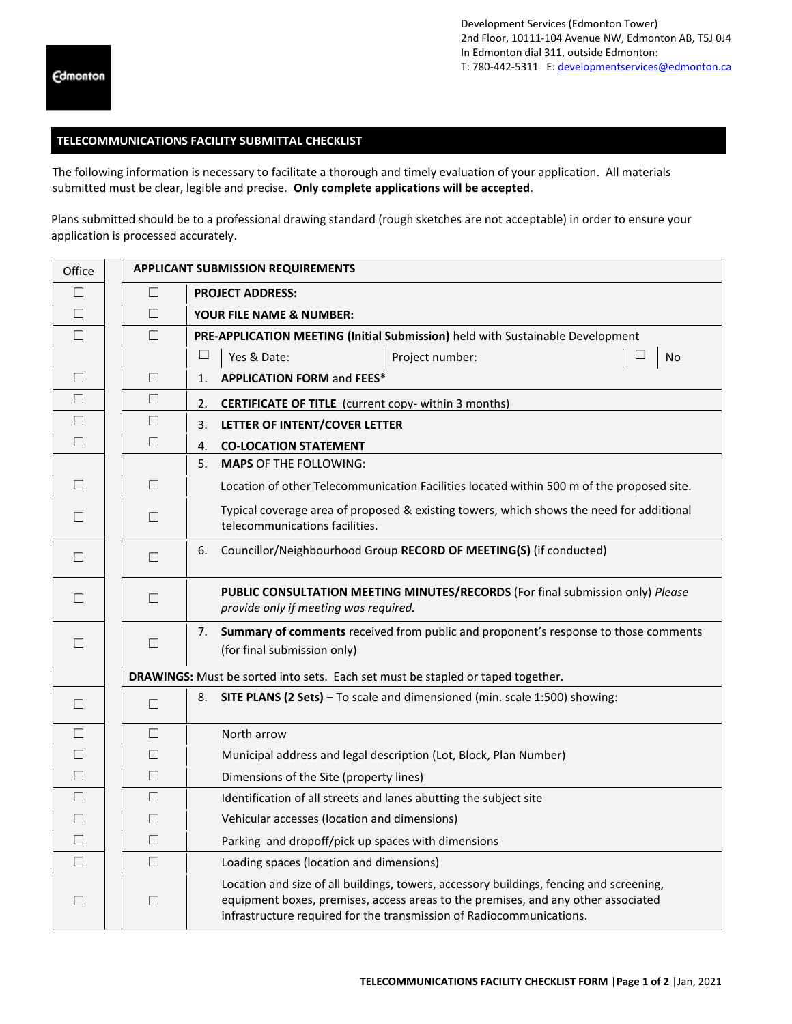## **TELECOMMUNICATIONS FACILITY SUBMITTAL CHECKLIST**

The following information is necessary to facilitate a thorough and timely evaluation of your application. All materials submitted must be clear, legible and precise. **Only complete applications will be accepted**.

Plans submitted should be to a professional drawing standard (rough sketches are not acceptable) in order to ensure your application is processed accurately.

| Office |                                                                                 | <b>APPLICANT SUBMISSION REQUIREMENTS</b>                                                                                                                                                                                                             |  |  |  |
|--------|---------------------------------------------------------------------------------|------------------------------------------------------------------------------------------------------------------------------------------------------------------------------------------------------------------------------------------------------|--|--|--|
| $\Box$ | $\Box$                                                                          | <b>PROJECT ADDRESS:</b>                                                                                                                                                                                                                              |  |  |  |
| $\Box$ | $\Box$                                                                          | <b>YOUR FILE NAME &amp; NUMBER:</b>                                                                                                                                                                                                                  |  |  |  |
| $\Box$ | $\Box$                                                                          | PRE-APPLICATION MEETING (Initial Submission) held with Sustainable Development                                                                                                                                                                       |  |  |  |
|        |                                                                                 | $\Box$<br>Yes & Date:<br>⊔<br>Project number:<br>No                                                                                                                                                                                                  |  |  |  |
| $\Box$ | $\Box$                                                                          | <b>APPLICATION FORM and FEES*</b><br>$\mathbf{1}$ .                                                                                                                                                                                                  |  |  |  |
| $\Box$ | $\Box$                                                                          | <b>CERTIFICATE OF TITLE</b> (current copy- within 3 months)<br>2.                                                                                                                                                                                    |  |  |  |
| $\Box$ | $\Box$                                                                          | LETTER OF INTENT/COVER LETTER<br>3.                                                                                                                                                                                                                  |  |  |  |
| $\Box$ | $\Box$                                                                          | 4.<br><b>CO-LOCATION STATEMENT</b>                                                                                                                                                                                                                   |  |  |  |
|        |                                                                                 | <b>MAPS OF THE FOLLOWING:</b><br>5.                                                                                                                                                                                                                  |  |  |  |
| $\Box$ | $\Box$                                                                          | Location of other Telecommunication Facilities located within 500 m of the proposed site.                                                                                                                                                            |  |  |  |
| $\Box$ | $\Box$                                                                          | Typical coverage area of proposed & existing towers, which shows the need for additional<br>telecommunications facilities.                                                                                                                           |  |  |  |
| $\Box$ | $\Box$                                                                          | Councillor/Neighbourhood Group RECORD OF MEETING(S) (if conducted)<br>6.                                                                                                                                                                             |  |  |  |
| $\Box$ | $\Box$                                                                          | PUBLIC CONSULTATION MEETING MINUTES/RECORDS (For final submission only) Please<br>provide only if meeting was required.                                                                                                                              |  |  |  |
| $\Box$ | $\Box$                                                                          | Summary of comments received from public and proponent's response to those comments<br>7.<br>(for final submission only)                                                                                                                             |  |  |  |
|        | DRAWINGS: Must be sorted into sets. Each set must be stapled or taped together. |                                                                                                                                                                                                                                                      |  |  |  |
| $\Box$ | $\Box$                                                                          | SITE PLANS (2 Sets) - To scale and dimensioned (min. scale 1:500) showing:<br>8.                                                                                                                                                                     |  |  |  |
| П      | $\Box$                                                                          | North arrow                                                                                                                                                                                                                                          |  |  |  |
| $\Box$ | $\Box$                                                                          | Municipal address and legal description (Lot, Block, Plan Number)                                                                                                                                                                                    |  |  |  |
| $\Box$ | $\Box$                                                                          | Dimensions of the Site (property lines)                                                                                                                                                                                                              |  |  |  |
| $\Box$ | $\Box$                                                                          | Identification of all streets and lanes abutting the subject site                                                                                                                                                                                    |  |  |  |
| $\Box$ | $\Box$                                                                          | Vehicular accesses (location and dimensions)                                                                                                                                                                                                         |  |  |  |
| $\Box$ | $\Box$                                                                          | Parking and dropoff/pick up spaces with dimensions                                                                                                                                                                                                   |  |  |  |
| П      | П                                                                               | Loading spaces (location and dimensions)                                                                                                                                                                                                             |  |  |  |
| $\Box$ | $\Box$                                                                          | Location and size of all buildings, towers, accessory buildings, fencing and screening,<br>equipment boxes, premises, access areas to the premises, and any other associated<br>infrastructure required for the transmission of Radiocommunications. |  |  |  |